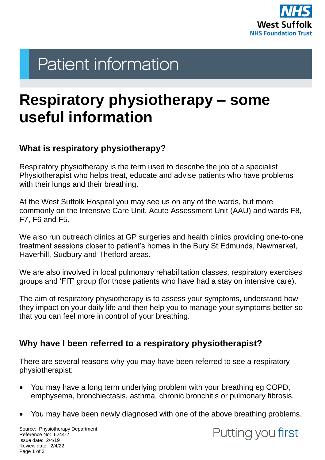

# **Patient information**

# **Respiratory physiotherapy – some useful information**

## **What is respiratory physiotherapy?**

Respiratory physiotherapy is the term used to describe the job of a specialist Physiotherapist who helps treat, educate and advise patients who have problems with their lungs and their breathing.

At the West Suffolk Hospital you may see us on any of the wards, but more commonly on the Intensive Care Unit, Acute Assessment Unit (AAU) and wards F8, F7, F6 and F5.

We also run outreach clinics at GP surgeries and health clinics providing one-to-one treatment sessions closer to patient's homes in the Bury St Edmunds, Newmarket, Haverhill, Sudbury and Thetford areas.

We are also involved in local pulmonary rehabilitation classes, respiratory exercises groups and 'FIT' group (for those patients who have had a stay on intensive care).

The aim of respiratory physiotherapy is to assess your symptoms, understand how they impact on your daily life and then help you to manage your symptoms better so that you can feel more in control of your breathing.

# **Why have I been referred to a respiratory physiotherapist?**

There are several reasons why you may have been referred to see a respiratory physiotherapist:

- You may have a long term underlying problem with your breathing eg COPD, emphysema, bronchiectasis, asthma, chronic bronchitis or pulmonary fibrosis.
- You may have been newly diagnosed with one of the above breathing problems.

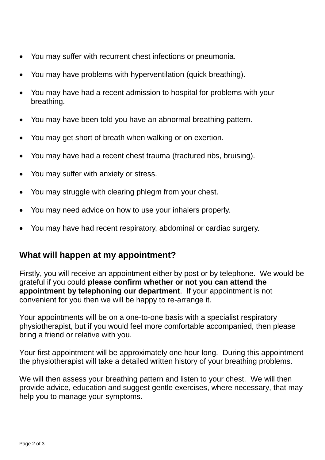- You may suffer with recurrent chest infections or pneumonia.
- You may have problems with hyperventilation (quick breathing).
- You may have had a recent admission to hospital for problems with your breathing.
- You may have been told you have an abnormal breathing pattern.
- You may get short of breath when walking or on exertion.
- You may have had a recent chest trauma (fractured ribs, bruising).
- You may suffer with anxiety or stress.
- You may struggle with clearing phlegm from your chest.
- You may need advice on how to use your inhalers properly.
- You may have had recent respiratory, abdominal or cardiac surgery.

### **What will happen at my appointment?**

Firstly, you will receive an appointment either by post or by telephone. We would be grateful if you could **please confirm whether or not you can attend the appointment by telephoning our department**. If your appointment is not convenient for you then we will be happy to re-arrange it.

Your appointments will be on a one-to-one basis with a specialist respiratory physiotherapist, but if you would feel more comfortable accompanied, then please bring a friend or relative with you.

Your first appointment will be approximately one hour long. During this appointment the physiotherapist will take a detailed written history of your breathing problems.

We will then assess your breathing pattern and listen to your chest. We will then provide advice, education and suggest gentle exercises, where necessary, that may help you to manage your symptoms.